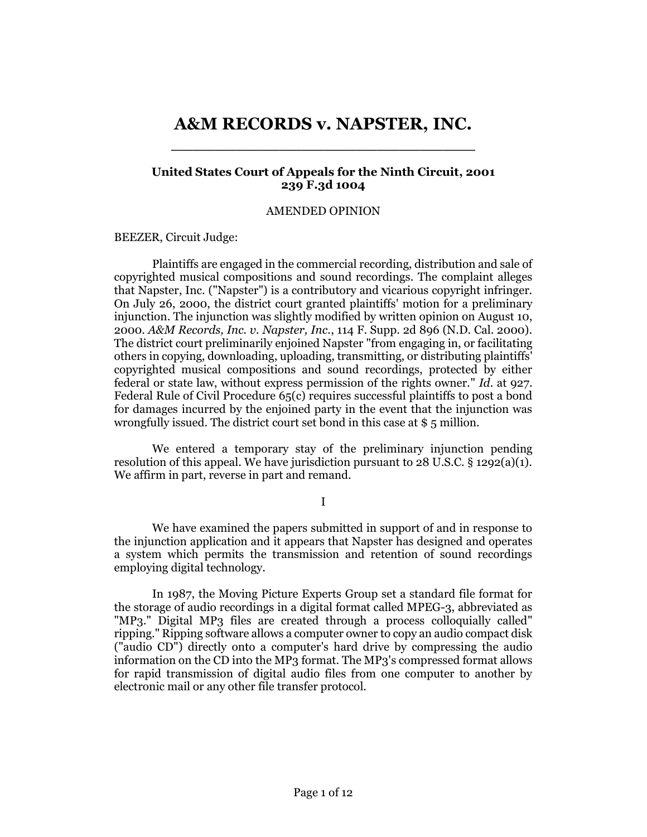# **A&M RECORDS v. NAPSTER, INC.** \_\_\_\_\_\_\_\_\_\_\_\_\_\_\_\_\_\_\_\_\_\_\_\_\_\_\_\_

# **United States Court of Appeals for the Ninth Circuit, 2001 239 F.3d 1004**

#### AMENDED OPINION

#### BEEZER, Circuit Judge:

Plaintiffs are engaged in the commercial recording, distribution and sale of copyrighted musical compositions and sound recordings. The complaint alleges that Napster, Inc. ("Napster") is a contributory and vicarious copyright infringer. On July 26, 2000, the district court granted plaintiffs' motion for a preliminary injunction. The injunction was slightly modified by written opinion on August 10, 2000. *A&M Records, Inc. v. Napster, Inc.*, 114 F. Supp. 2d 896 (N.D. Cal. 2000). The district court preliminarily enjoined Napster "from engaging in, or facilitating others in copying, downloading, uploading, transmitting, or distributing plaintiffs' copyrighted musical compositions and sound recordings, protected by either federal or state law, without express permission of the rights owner." *Id*. at 927. Federal Rule of Civil Procedure 65(c) requires successful plaintiffs to post a bond for damages incurred by the enjoined party in the event that the injunction was wrongfully issued. The district court set bond in this case at \$ 5 million.

We entered a temporary stay of the preliminary injunction pending resolution of this appeal. We have jurisdiction pursuant to  $28$  U.S.C.  $\S$   $1292(a)(1)$ . We affirm in part, reverse in part and remand.

I

We have examined the papers submitted in support of and in response to the injunction application and it appears that Napster has designed and operates a system which permits the transmission and retention of sound recordings employing digital technology.

In 1987, the Moving Picture Experts Group set a standard file format for the storage of audio recordings in a digital format called MPEG-3, abbreviated as "MP3." Digital MP3 files are created through a process colloquially called" ripping." Ripping software allows a computer owner to copy an audio compact disk ("audio CD") directly onto a computer's hard drive by compressing the audio information on the CD into the MP3 format. The MP3's compressed format allows for rapid transmission of digital audio files from one computer to another by electronic mail or any other file transfer protocol.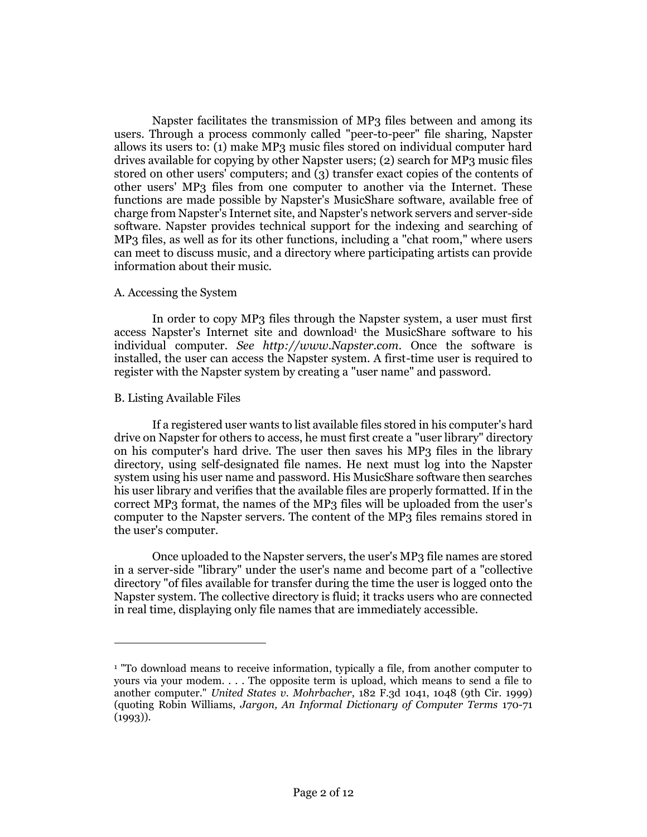Napster facilitates the transmission of MP3 files between and among its users. Through a process commonly called "peer-to-peer" file sharing, Napster allows its users to: (1) make MP3 music files stored on individual computer hard drives available for copying by other Napster users; (2) search for MP3 music files stored on other users' computers; and (3) transfer exact copies of the contents of other users' MP3 files from one computer to another via the Internet. These functions are made possible by Napster's MusicShare software, available free of charge from Napster's Internet site, and Napster's network servers and server-side software. Napster provides technical support for the indexing and searching of MP3 files, as well as for its other functions, including a "chat room," where users can meet to discuss music, and a directory where participating artists can provide information about their music.

#### A. Accessing the System

In order to copy MP3 files through the Napster system, a user must first access Napster's Internet site and download<sup>1</sup> the MusicShare software to his individual computer. *See http://www.Napster.com*. Once the software is installed, the user can access the Napster system. A first-time user is required to register with the Napster system by creating a "user name" and password.

# B. Listing Available Files

 $\overline{a}$ 

If a registered user wants to list available files stored in his computer's hard drive on Napster for others to access, he must first create a "user library" directory on his computer's hard drive. The user then saves his MP3 files in the library directory, using self-designated file names. He next must log into the Napster system using his user name and password. His MusicShare software then searches his user library and verifies that the available files are properly formatted. If in the correct MP3 format, the names of the MP3 files will be uploaded from the user's computer to the Napster servers. The content of the MP3 files remains stored in the user's computer.

Once uploaded to the Napster servers, the user's MP3 file names are stored in a server-side "library" under the user's name and become part of a "collective directory "of files available for transfer during the time the user is logged onto the Napster system. The collective directory is fluid; it tracks users who are connected in real time, displaying only file names that are immediately accessible.

<sup>&</sup>lt;sup>1</sup> "To download means to receive information, typically a file, from another computer to yours via your modem. . . . The opposite term is upload, which means to send a file to another computer." *United States v. Mohrbacher*, 182 F.3d 1041, 1048 (9th Cir. 1999) (quoting Robin Williams, *Jargon, An Informal Dictionary of Computer Terms* 170-71 (1993)).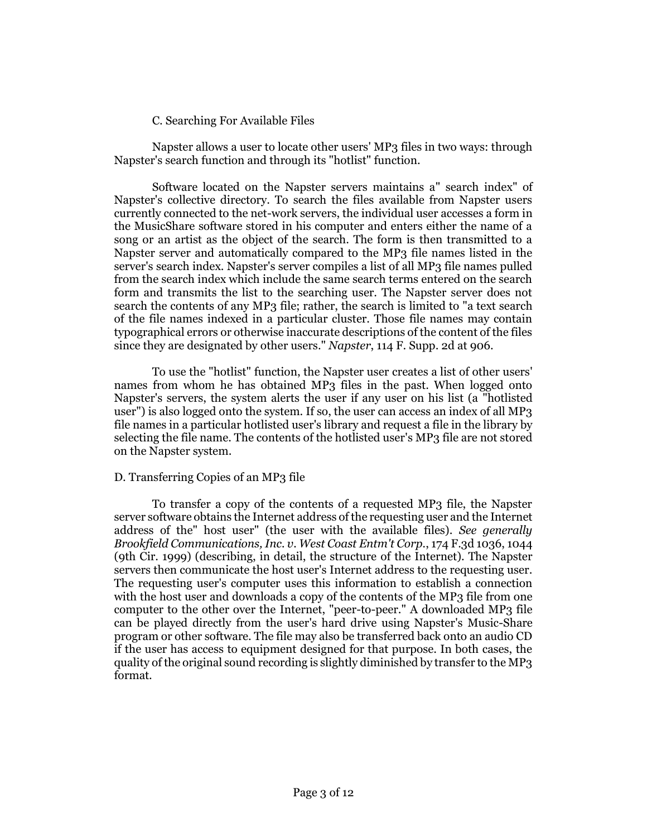# C. Searching For Available Files

Napster allows a user to locate other users' MP3 files in two ways: through Napster's search function and through its "hotlist" function.

Software located on the Napster servers maintains a" search index" of Napster's collective directory. To search the files available from Napster users currently connected to the net-work servers, the individual user accesses a form in the MusicShare software stored in his computer and enters either the name of a song or an artist as the object of the search. The form is then transmitted to a Napster server and automatically compared to the MP3 file names listed in the server's search index. Napster's server compiles a list of all MP3 file names pulled from the search index which include the same search terms entered on the search form and transmits the list to the searching user. The Napster server does not search the contents of any MP3 file; rather, the search is limited to "a text search of the file names indexed in a particular cluster. Those file names may contain typographical errors or otherwise inaccurate descriptions of the content of the files since they are designated by other users." *Napster*, 114 F. Supp. 2d at 906.

To use the "hotlist" function, the Napster user creates a list of other users' names from whom he has obtained MP3 files in the past. When logged onto Napster's servers, the system alerts the user if any user on his list (a "hotlisted user") is also logged onto the system. If so, the user can access an index of all MP3 file names in a particular hotlisted user's library and request a file in the library by selecting the file name. The contents of the hotlisted user's MP3 file are not stored on the Napster system.

# D. Transferring Copies of an MP3 file

To transfer a copy of the contents of a requested MP3 file, the Napster server software obtains the Internet address of the requesting user and the Internet address of the" host user" (the user with the available files). *See generally Brookfield Communications, Inc. v. West Coast Entm't Corp.*, 174 F.3d 1036, 1044 (9th Cir. 1999) (describing, in detail, the structure of the Internet). The Napster servers then communicate the host user's Internet address to the requesting user. The requesting user's computer uses this information to establish a connection with the host user and downloads a copy of the contents of the MP3 file from one computer to the other over the Internet, "peer-to-peer." A downloaded MP3 file can be played directly from the user's hard drive using Napster's Music-Share program or other software. The file may also be transferred back onto an audio CD if the user has access to equipment designed for that purpose. In both cases, the quality of the original sound recording is slightly diminished by transfer to the MP3 format.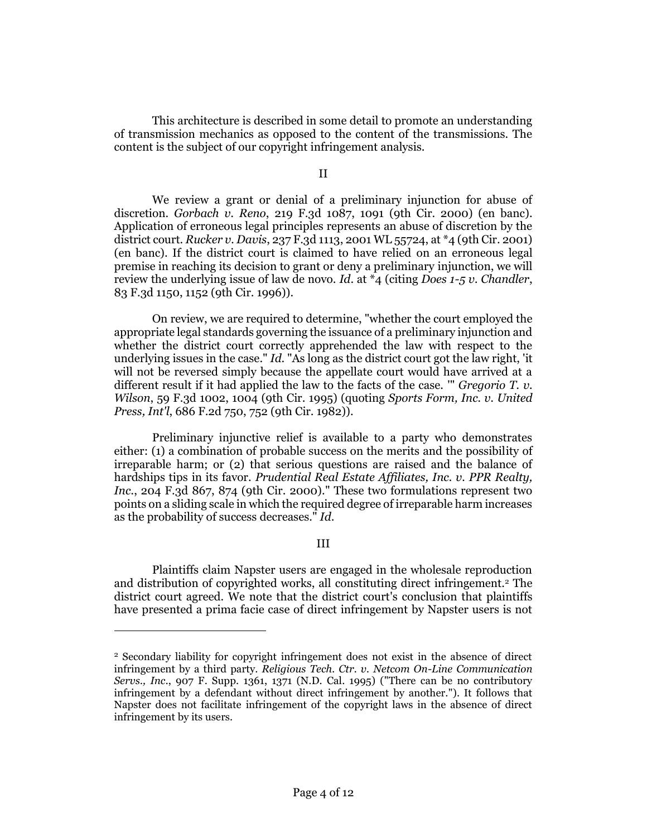This architecture is described in some detail to promote an understanding of transmission mechanics as opposed to the content of the transmissions. The content is the subject of our copyright infringement analysis.

II

We review a grant or denial of a preliminary injunction for abuse of discretion. *Gorbach v. Reno*, 219 F.3d 1087, 1091 (9th Cir. 2000) (en banc). Application of erroneous legal principles represents an abuse of discretion by the district court. *Rucker v. Davis*, 237 F.3d 1113, 2001 WL 55724, at \*4 (9th Cir. 2001) (en banc). If the district court is claimed to have relied on an erroneous legal premise in reaching its decision to grant or deny a preliminary injunction, we will review the underlying issue of law de novo. *Id*. at \*4 (citing *Does 1-5 v. Chandler*, 83 F.3d 1150, 1152 (9th Cir. 1996)).

On review, we are required to determine, "whether the court employed the appropriate legal standards governing the issuance of a preliminary injunction and whether the district court correctly apprehended the law with respect to the underlying issues in the case." *Id*. "As long as the district court got the law right, 'it will not be reversed simply because the appellate court would have arrived at a different result if it had applied the law to the facts of the case. '" *Gregorio T. v. Wilson*, 59 F.3d 1002, 1004 (9th Cir. 1995) (quoting *Sports Form, Inc. v. United Press, Int'l*, 686 F.2d 750, 752 (9th Cir. 1982)).

Preliminary injunctive relief is available to a party who demonstrates either: (1) a combination of probable success on the merits and the possibility of irreparable harm; or (2) that serious questions are raised and the balance of hardships tips in its favor. *Prudential Real Estate Affiliates, Inc. v. PPR Realty, Inc.*, 204 F.3d 867, 874 (9th Cir. 2000)." These two formulations represent two points on a sliding scale in which the required degree of irreparable harm increases as the probability of success decreases." *Id*.

#### III

Plaintiffs claim Napster users are engaged in the wholesale reproduction and distribution of copyrighted works, all constituting direct infringement.<sup>2</sup> The district court agreed. We note that the district court's conclusion that plaintiffs have presented a prima facie case of direct infringement by Napster users is not

 $\overline{a}$ 

<sup>2</sup> Secondary liability for copyright infringement does not exist in the absence of direct infringement by a third party. *Religious Tech. Ctr. v. Netcom On-Line Communication Servs., Inc.*, 907 F. Supp. 1361, 1371 (N.D. Cal. 1995) ("There can be no contributory infringement by a defendant without direct infringement by another."). It follows that Napster does not facilitate infringement of the copyright laws in the absence of direct infringement by its users.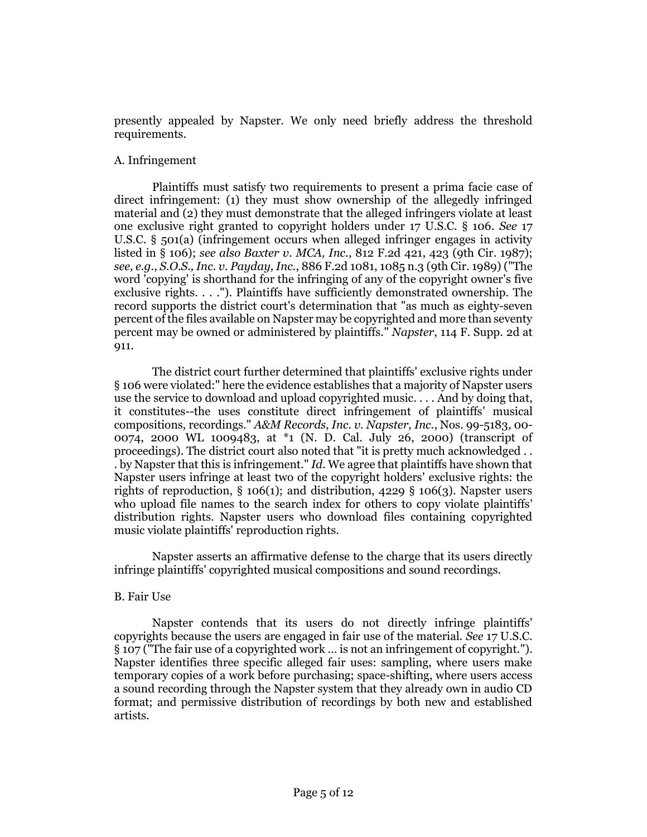presently appealed by Napster. We only need briefly address the threshold requirements.

### A. Infringement

Plaintiffs must satisfy two requirements to present a prima facie case of direct infringement: (1) they must show ownership of the allegedly infringed material and (2) they must demonstrate that the alleged infringers violate at least one exclusive right granted to copyright holders under 17 U.S.C. § 106. *See* 17 U.S.C. § 501(a) (infringement occurs when alleged infringer engages in activity listed in § 106); *see also Baxter v. MCA, Inc.*, 812 F.2d 421, 423 (9th Cir. 1987); *see, e.g.*, *S.O.S., Inc. v. Payday, Inc.*, 886 F.2d 1081, 1085 n.3 (9th Cir. 1989) ("The word 'copying' is shorthand for the infringing of any of the copyright owner's five exclusive rights. . . ."). Plaintiffs have sufficiently demonstrated ownership. The record supports the district court's determination that "as much as eighty-seven percent of the files available on Napster may be copyrighted and more than seventy percent may be owned or administered by plaintiffs." *Napster*, 114 F. Supp. 2d at 911.

The district court further determined that plaintiffs' exclusive rights under § 106 were violated:" here the evidence establishes that a majority of Napster users use the service to download and upload copyrighted music. . . . And by doing that, it constitutes--the uses constitute direct infringement of plaintiffs' musical compositions, recordings." *A&M Records*, *Inc. v. Napster, Inc.*, Nos. 99-5183, 00- 0074, 2000 WL 1009483, at \*1 (N. D. Cal. July 26, 2000) (transcript of proceedings). The district court also noted that "it is pretty much acknowledged . . . by Napster that this is infringement." *Id*. We agree that plaintiffs have shown that Napster users infringe at least two of the copyright holders' exclusive rights: the rights of reproduction,  $\S$  106(1); and distribution, 4229  $\S$  106(3). Napster users who upload file names to the search index for others to copy violate plaintiffs' distribution rights. Napster users who download files containing copyrighted music violate plaintiffs' reproduction rights.

Napster asserts an affirmative defense to the charge that its users directly infringe plaintiffs' copyrighted musical compositions and sound recordings.

#### B. Fair Use

Napster contends that its users do not directly infringe plaintiffs' copyrights because the users are engaged in fair use of the material. *See* 17 U.S.C. § 107 ("The fair use of a copyrighted work … is not an infringement of copyright."). Napster identifies three specific alleged fair uses: sampling, where users make temporary copies of a work before purchasing; space-shifting, where users access a sound recording through the Napster system that they already own in audio CD format; and permissive distribution of recordings by both new and established artists.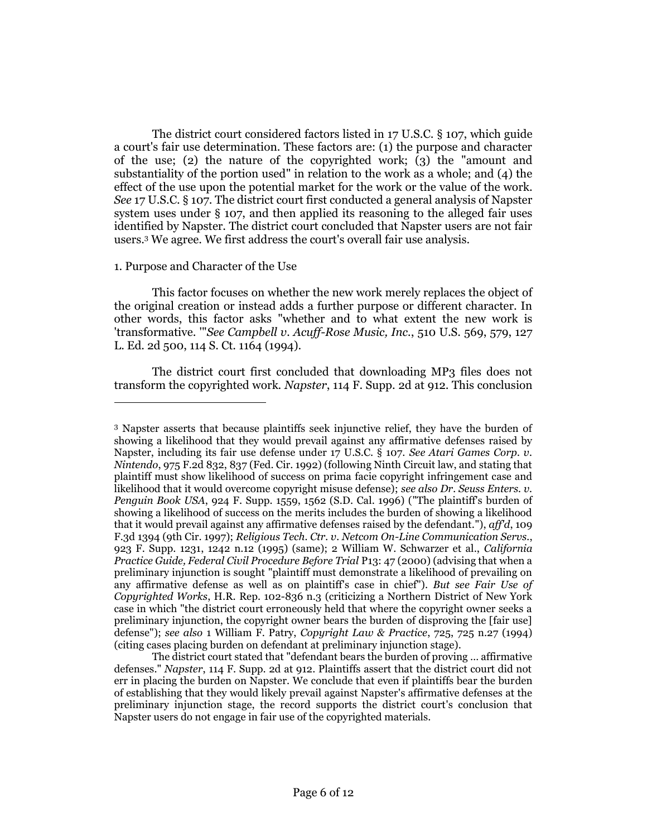The district court considered factors listed in 17 U.S.C. § 107, which guide a court's fair use determination. These factors are: (1) the purpose and character of the use; (2) the nature of the copyrighted work; (3) the "amount and substantiality of the portion used" in relation to the work as a whole; and (4) the effect of the use upon the potential market for the work or the value of the work. *See* 17 U.S.C. § 107. The district court first conducted a general analysis of Napster system uses under § 107, and then applied its reasoning to the alleged fair uses identified by Napster. The district court concluded that Napster users are not fair users.<sup>3</sup> We agree. We first address the court's overall fair use analysis.

#### 1. Purpose and Character of the Use

 $\overline{a}$ 

This factor focuses on whether the new work merely replaces the object of the original creation or instead adds a further purpose or different character. In other words, this factor asks "whether and to what extent the new work is 'transformative. '"*See Campbell v. Acuff-Rose Music, Inc.*, 510 U.S. 569, 579, 127 L. Ed. 2d 500, 114 S. Ct. 1164 (1994).

The district court first concluded that downloading MP3 files does not transform the copyrighted work. *Napster*, 114 F. Supp. 2d at 912. This conclusion

<sup>3</sup> Napster asserts that because plaintiffs seek injunctive relief, they have the burden of showing a likelihood that they would prevail against any affirmative defenses raised by Napster, including its fair use defense under 17 U.S.C. § 107. *See Atari Games Corp. v. Nintendo*, 975 F.2d 832, 837 (Fed. Cir. 1992) (following Ninth Circuit law, and stating that plaintiff must show likelihood of success on prima facie copyright infringement case and likelihood that it would overcome copyright misuse defense); *see also Dr. Seuss Enters. v. Penguin Book USA*, 924 F. Supp. 1559, 1562 (S.D. Cal. 1996) ("The plaintiff's burden of showing a likelihood of success on the merits includes the burden of showing a likelihood that it would prevail against any affirmative defenses raised by the defendant."), *aff'd*, 109 F.3d 1394 (9th Cir. 1997); *Religious Tech. Ctr. v. Netcom On-Line Communication Servs.*, 923 F. Supp. 1231, 1242 n.12 (1995) (same); 2 William W. Schwarzer et al., *California Practice Guide, Federal Civil Procedure Before Trial* P13: 47 (2000) (advising that when a preliminary injunction is sought "plaintiff must demonstrate a likelihood of prevailing on any affirmative defense as well as on plaintiff's case in chief"). *But see Fair Use of Copyrighted Works*, H.R. Rep. 102-836 n.3 (criticizing a Northern District of New York case in which "the district court erroneously held that where the copyright owner seeks a preliminary injunction, the copyright owner bears the burden of disproving the [fair use] defense"); *see also* 1 William F. Patry, *Copyright Law & Practice*, 725, 725 n.27 (1994) (citing cases placing burden on defendant at preliminary injunction stage).

The district court stated that "defendant bears the burden of proving … affirmative defenses." *Napster*, 114 F. Supp. 2d at 912. Plaintiffs assert that the district court did not err in placing the burden on Napster. We conclude that even if plaintiffs bear the burden of establishing that they would likely prevail against Napster's affirmative defenses at the preliminary injunction stage, the record supports the district court's conclusion that Napster users do not engage in fair use of the copyrighted materials.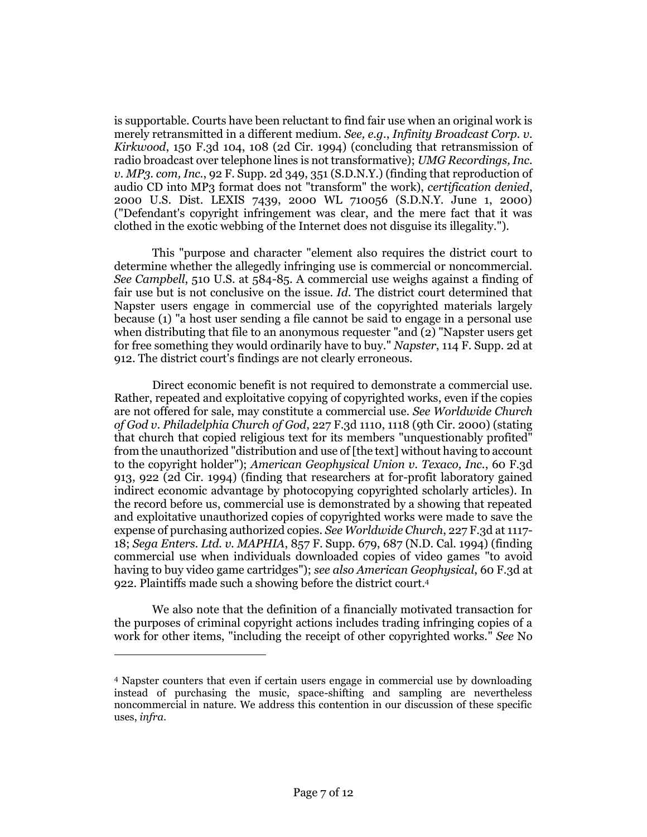is supportable. Courts have been reluctant to find fair use when an original work is merely retransmitted in a different medium. *See, e.g.*, *Infinity Broadcast Corp. v. Kirkwood*, 150 F.3d 104, 108 (2d Cir. 1994) (concluding that retransmission of radio broadcast over telephone lines is not transformative); *UMG Recordings, Inc. v. MP3. com, Inc.*, 92 F. Supp. 2d 349, 351 (S.D.N.Y.) (finding that reproduction of audio CD into MP3 format does not "transform" the work), *certification denied*, 2000 U.S. Dist. LEXIS 7439, 2000 WL 710056 (S.D.N.Y. June 1, 2000) ("Defendant's copyright infringement was clear, and the mere fact that it was clothed in the exotic webbing of the Internet does not disguise its illegality.").

This "purpose and character "element also requires the district court to determine whether the allegedly infringing use is commercial or noncommercial. *See Campbell*, 510 U.S. at 584-85. A commercial use weighs against a finding of fair use but is not conclusive on the issue. *Id*. The district court determined that Napster users engage in commercial use of the copyrighted materials largely because (1) "a host user sending a file cannot be said to engage in a personal use when distributing that file to an anonymous requester "and (2) "Napster users get for free something they would ordinarily have to buy." *Napster*, 114 F. Supp. 2d at 912. The district court's findings are not clearly erroneous.

Direct economic benefit is not required to demonstrate a commercial use. Rather, repeated and exploitative copying of copyrighted works, even if the copies are not offered for sale, may constitute a commercial use. *See Worldwide Church of God v. Philadelphia Church of God*, 227 F.3d 1110, 1118 (9th Cir. 2000) (stating that church that copied religious text for its members "unquestionably profited" from the unauthorized "distribution and use of [the text] without having to account to the copyright holder"); *American Geophysical Union v. Texaco, Inc.*, 60 F.3d 913, 922 (2d Cir. 1994) (finding that researchers at for-profit laboratory gained indirect economic advantage by photocopying copyrighted scholarly articles). In the record before us, commercial use is demonstrated by a showing that repeated and exploitative unauthorized copies of copyrighted works were made to save the expense of purchasing authorized copies. *See Worldwide Church*, 227 F.3d at 1117- 18; *Sega Enters. Ltd. v. MAPHIA*, 857 F. Supp. 679, 687 (N.D. Cal. 1994) (finding commercial use when individuals downloaded copies of video games "to avoid having to buy video game cartridges"); *see also American Geophysical*, 60 F.3d at 922. Plaintiffs made such a showing before the district court.<sup>4</sup>

We also note that the definition of a financially motivated transaction for the purposes of criminal copyright actions includes trading infringing copies of a work for other items, "including the receipt of other copyrighted works." *See* No

 $\overline{a}$ 

<sup>4</sup> Napster counters that even if certain users engage in commercial use by downloading instead of purchasing the music, space-shifting and sampling are nevertheless noncommercial in nature. We address this contention in our discussion of these specific uses, *infra*.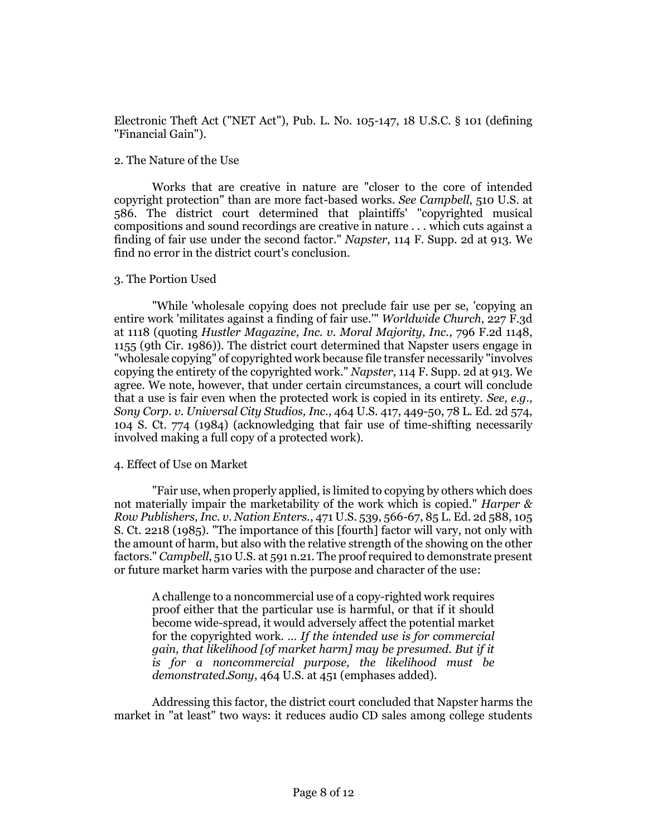Electronic Theft Act ("NET Act"), Pub. L. No. 105-147, 18 U.S.C. § 101 (defining "Financial Gain").

# 2. The Nature of the Use

Works that are creative in nature are "closer to the core of intended copyright protection" than are more fact-based works. *See Campbell*, 510 U.S. at 586. The district court determined that plaintiffs' "copyrighted musical compositions and sound recordings are creative in nature . . . which cuts against a finding of fair use under the second factor." *Napster*, 114 F. Supp. 2d at 913. We find no error in the district court's conclusion.

# 3. The Portion Used

"While 'wholesale copying does not preclude fair use per se, 'copying an entire work 'militates against a finding of fair use.'" *Worldwide Church*, 227 F.3d at 1118 (quoting *Hustler Magazine, Inc. v. Moral Majority, Inc.*, 796 F.2d 1148, 1155 (9th Cir. 1986)). The district court determined that Napster users engage in "wholesale copying" of copyrighted work because file transfer necessarily "involves copying the entirety of the copyrighted work." *Napster*, 114 F. Supp. 2d at 913. We agree. We note, however, that under certain circumstances, a court will conclude that a use is fair even when the protected work is copied in its entirety. *See, e.g., Sony Corp. v. Universal City Studios, Inc.*, 464 U.S. 417, 449-50, 78 L. Ed. 2d 574, 104 S. Ct. 774 (1984) (acknowledging that fair use of time-shifting necessarily involved making a full copy of a protected work).

# 4. Effect of Use on Market

"Fair use, when properly applied, is limited to copying by others which does not materially impair the marketability of the work which is copied." *Harper & Row Publishers, Inc. v. Nation Enters.*, 471 U.S. 539, 566-67, 85 L. Ed. 2d 588, 105 S. Ct. 2218 (1985). "The importance of this [fourth] factor will vary, not only with the amount of harm, but also with the relative strength of the showing on the other factors." *Campbell*, 510 U.S. at 591 n.21. The proof required to demonstrate present or future market harm varies with the purpose and character of the use:

A challenge to a noncommercial use of a copy-righted work requires proof either that the particular use is harmful, or that if it should become wide-spread, it would adversely affect the potential market for the copyrighted work. … *If the intended use is for commercial gain, that likelihood [of market harm] may be presumed. But if it is for a noncommercial purpose, the likelihood must be demonstrated*.*Sony*, 464 U.S. at 451 (emphases added).

Addressing this factor, the district court concluded that Napster harms the market in "at least" two ways: it reduces audio CD sales among college students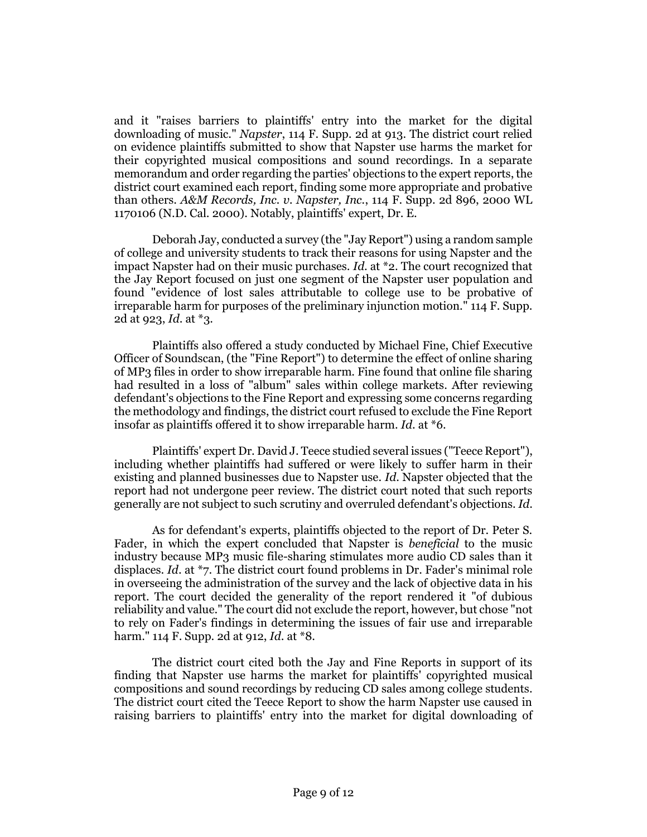and it "raises barriers to plaintiffs' entry into the market for the digital downloading of music." *Napster*, 114 F. Supp. 2d at 913. The district court relied on evidence plaintiffs submitted to show that Napster use harms the market for their copyrighted musical compositions and sound recordings. In a separate memorandum and order regarding the parties' objections to the expert reports, the district court examined each report, finding some more appropriate and probative than others. *A&M Records, Inc. v. Napster, Inc.*, 114 F. Supp. 2d 896, 2000 WL 1170106 (N.D. Cal. 2000). Notably, plaintiffs' expert, Dr. E.

Deborah Jay, conducted a survey (the "Jay Report") using a random sample of college and university students to track their reasons for using Napster and the impact Napster had on their music purchases. *Id*. at \*2. The court recognized that the Jay Report focused on just one segment of the Napster user population and found "evidence of lost sales attributable to college use to be probative of irreparable harm for purposes of the preliminary injunction motion." 114 F. Supp. 2d at 923, *Id*. at \*3.

Plaintiffs also offered a study conducted by Michael Fine, Chief Executive Officer of Soundscan, (the "Fine Report") to determine the effect of online sharing of MP3 files in order to show irreparable harm. Fine found that online file sharing had resulted in a loss of "album" sales within college markets. After reviewing defendant's objections to the Fine Report and expressing some concerns regarding the methodology and findings, the district court refused to exclude the Fine Report insofar as plaintiffs offered it to show irreparable harm. *Id*. at \*6.

Plaintiffs' expert Dr. David J. Teece studied several issues ("Teece Report"), including whether plaintiffs had suffered or were likely to suffer harm in their existing and planned businesses due to Napster use. *Id*. Napster objected that the report had not undergone peer review. The district court noted that such reports generally are not subject to such scrutiny and overruled defendant's objections. *Id*.

As for defendant's experts, plaintiffs objected to the report of Dr. Peter S. Fader, in which the expert concluded that Napster is *beneficial* to the music industry because MP3 music file-sharing stimulates more audio CD sales than it displaces. *Id*. at \*7. The district court found problems in Dr. Fader's minimal role in overseeing the administration of the survey and the lack of objective data in his report. The court decided the generality of the report rendered it "of dubious reliability and value." The court did not exclude the report, however, but chose "not to rely on Fader's findings in determining the issues of fair use and irreparable harm." 114 F. Supp. 2d at 912, *Id*. at \*8.

The district court cited both the Jay and Fine Reports in support of its finding that Napster use harms the market for plaintiffs' copyrighted musical compositions and sound recordings by reducing CD sales among college students. The district court cited the Teece Report to show the harm Napster use caused in raising barriers to plaintiffs' entry into the market for digital downloading of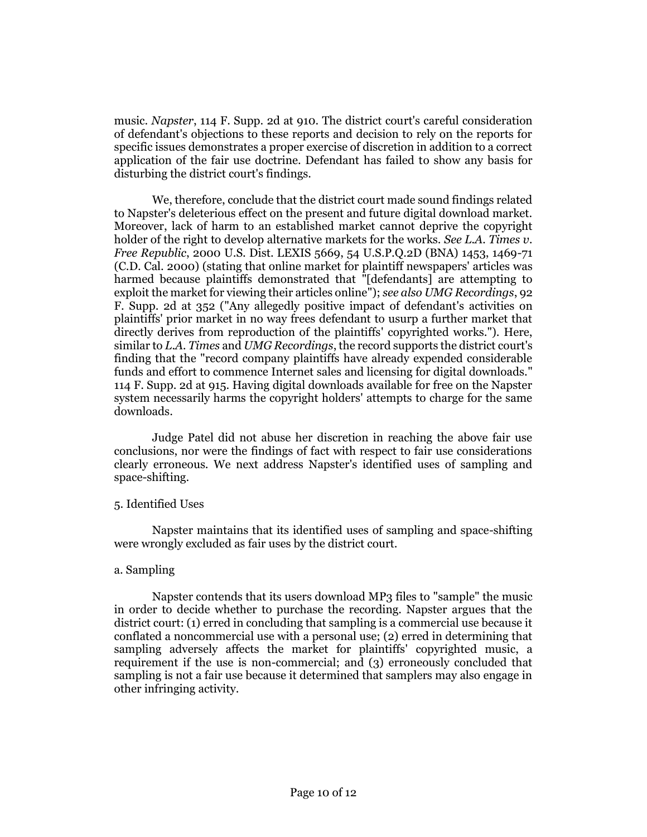music. *Napster*, 114 F. Supp. 2d at 910. The district court's careful consideration of defendant's objections to these reports and decision to rely on the reports for specific issues demonstrates a proper exercise of discretion in addition to a correct application of the fair use doctrine. Defendant has failed to show any basis for disturbing the district court's findings.

We, therefore, conclude that the district court made sound findings related to Napster's deleterious effect on the present and future digital download market. Moreover, lack of harm to an established market cannot deprive the copyright holder of the right to develop alternative markets for the works. *See L.A. Times v. Free Republic*, 2000 U.S. Dist. LEXIS 5669, 54 U.S.P.Q.2D (BNA) 1453, 1469-71 (C.D. Cal. 2000) (stating that online market for plaintiff newspapers' articles was harmed because plaintiffs demonstrated that "[defendants] are attempting to exploit the market for viewing their articles online"); *see also UMG Recordings*, 92 F. Supp. 2d at 352 ("Any allegedly positive impact of defendant's activities on plaintiffs' prior market in no way frees defendant to usurp a further market that directly derives from reproduction of the plaintiffs' copyrighted works."). Here, similar to *L.A. Times* and *UMG Recordings*, the record supports the district court's finding that the "record company plaintiffs have already expended considerable funds and effort to commence Internet sales and licensing for digital downloads." 114 F. Supp. 2d at 915. Having digital downloads available for free on the Napster system necessarily harms the copyright holders' attempts to charge for the same downloads.

Judge Patel did not abuse her discretion in reaching the above fair use conclusions, nor were the findings of fact with respect to fair use considerations clearly erroneous. We next address Napster's identified uses of sampling and space-shifting.

# 5. Identified Uses

Napster maintains that its identified uses of sampling and space-shifting were wrongly excluded as fair uses by the district court.

# a. Sampling

Napster contends that its users download MP3 files to "sample" the music in order to decide whether to purchase the recording. Napster argues that the district court: (1) erred in concluding that sampling is a commercial use because it conflated a noncommercial use with a personal use; (2) erred in determining that sampling adversely affects the market for plaintiffs' copyrighted music, a requirement if the use is non-commercial; and (3) erroneously concluded that sampling is not a fair use because it determined that samplers may also engage in other infringing activity.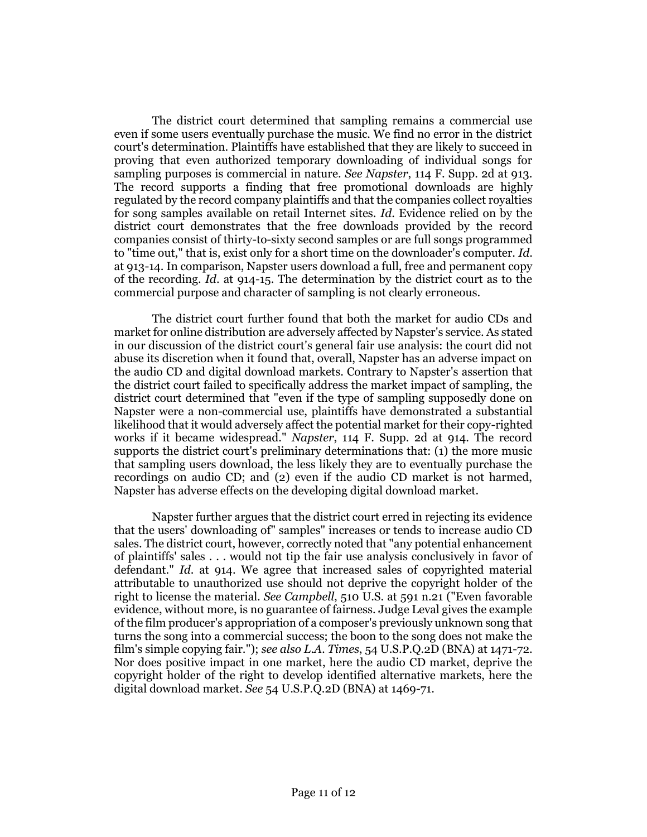The district court determined that sampling remains a commercial use even if some users eventually purchase the music. We find no error in the district court's determination. Plaintiffs have established that they are likely to succeed in proving that even authorized temporary downloading of individual songs for sampling purposes is commercial in nature. *See Napster*, 114 F. Supp. 2d at 913. The record supports a finding that free promotional downloads are highly regulated by the record company plaintiffs and that the companies collect royalties for song samples available on retail Internet sites. *Id*. Evidence relied on by the district court demonstrates that the free downloads provided by the record companies consist of thirty-to-sixty second samples or are full songs programmed to "time out," that is, exist only for a short time on the downloader's computer. *Id*. at 913-14. In comparison, Napster users download a full, free and permanent copy of the recording. *Id*. at 914-15. The determination by the district court as to the commercial purpose and character of sampling is not clearly erroneous.

The district court further found that both the market for audio CDs and market for online distribution are adversely affected by Napster's service. As stated in our discussion of the district court's general fair use analysis: the court did not abuse its discretion when it found that, overall, Napster has an adverse impact on the audio CD and digital download markets. Contrary to Napster's assertion that the district court failed to specifically address the market impact of sampling, the district court determined that "even if the type of sampling supposedly done on Napster were a non-commercial use, plaintiffs have demonstrated a substantial likelihood that it would adversely affect the potential market for their copy-righted works if it became widespread." *Napster*, 114 F. Supp. 2d at 914. The record supports the district court's preliminary determinations that: (1) the more music that sampling users download, the less likely they are to eventually purchase the recordings on audio CD; and (2) even if the audio CD market is not harmed, Napster has adverse effects on the developing digital download market.

Napster further argues that the district court erred in rejecting its evidence that the users' downloading of" samples" increases or tends to increase audio CD sales. The district court, however, correctly noted that "any potential enhancement of plaintiffs' sales . . . would not tip the fair use analysis conclusively in favor of defendant." *Id*. at 914. We agree that increased sales of copyrighted material attributable to unauthorized use should not deprive the copyright holder of the right to license the material. *See Campbell*, 510 U.S. at 591 n.21 ("Even favorable evidence, without more, is no guarantee of fairness. Judge Leval gives the example of the film producer's appropriation of a composer's previously unknown song that turns the song into a commercial success; the boon to the song does not make the film's simple copying fair."); *see also L.A. Times*, 54 U.S.P.Q.2D (BNA) at 1471-72. Nor does positive impact in one market, here the audio CD market, deprive the copyright holder of the right to develop identified alternative markets, here the digital download market. *See* 54 U.S.P.Q.2D (BNA) at 1469-71.